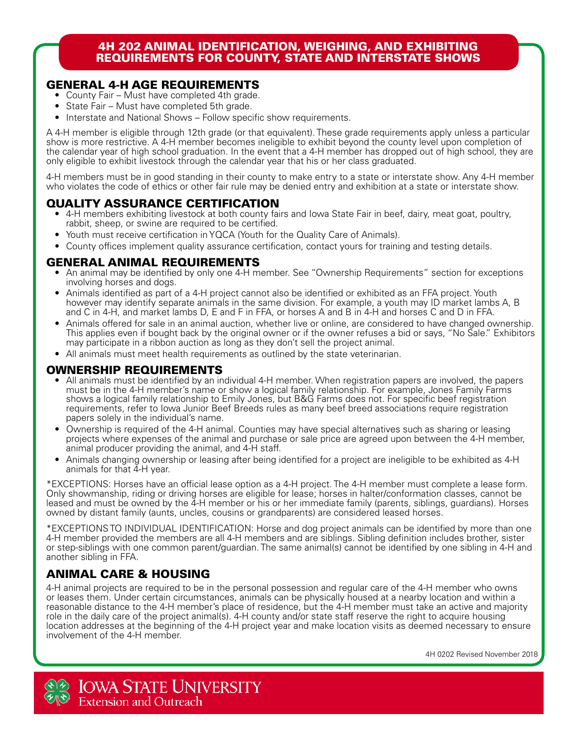### 4H 202 ANIMAL IDENTIFICATION, WEIGHING, AND EXHIBITING REQUIREMENTS FOR COUNTY, STATE AND INTERSTATE SHOWS

## GENERAL 4-H AGE REQUIREMENTS

- County Fair Must have completed 4th grade.
- State Fair Must have completed 5th grade.
- Interstate and National Shows Follow specific show requirements.

A 4-H member is eligible through 12th grade (or that equivalent). These grade requirements apply unless a particular show is more restrictive. A 4-H member becomes ineligible to exhibit beyond the county level upon completion of the calendar year of high school graduation. In the event that a 4-H member has dropped out of high school, they are only eligible to exhibit livestock through the calendar year that his or her class graduated.

4-H members must be in good standing in their county to make entry to a state or interstate show. Any 4-H member who violates the code of ethics or other fair rule may be denied entry and exhibition at a state or interstate show.

## QUALITY ASSURANCE CERTIFICATION

- 4-H members exhibiting livestock at both county fairs and Iowa State Fair in beef, dairy, meat goat, poultry, rabbit, sheep, or swine are required to be certified.
- Youth must receive certification in YQCA (Youth for the Quality Care of Animals).
- County offices implement quality assurance certification, contact yours for training and testing details.

### GENERAL ANIMAL REQUIREMENTS

- An animal may be identified by only one 4-H member. See "Ownership Requirements" section for exceptions involving horses and dogs.
- Animals identified as part of a 4-H project cannot also be identified or exhibited as an FFA project. Youth however may identify separate animals in the same division. For example, a youth may ID market lambs A, B and C in 4-H, and market lambs D, E and F in FFA, or horses A and B in 4-H and horses C and D in FFA.
- Animals offered for sale in an animal auction, whether live or online, are considered to have changed ownership. This applies even if bought back by the original owner or if the owner refuses a bid or says, "No Sale." Exhibitors may participate in a ribbon auction as long as they don't sell the project animal.
- All animals must meet health requirements as outlined by the state veterinarian.

## OWNERSHIP REQUIREMENTS

- All animals must be identified by an individual 4-H member. When registration papers are involved, the papers must be in the 4-H member's name or show a logical family relationship. For example, Jones Family Farms shows a logical family relationship to Emily Jones, but B&G Farms does not. For specific beef registration requirements, refer to Iowa Junior Beef Breeds rules as many beef breed associations require registration papers solely in the individual's name.
- Ownership is required of the 4-H animal. Counties may have special alternatives such as sharing or leasing projects where expenses of the animal and purchase or sale price are agreed upon between the 4-H member, animal producer providing the animal, and 4-H staff.
- Animals changing ownership or leasing after being identified for a project are ineligible to be exhibited as 4-H animals for that 4-H year.

\*EXCEPTIONS: Horses have an official lease option as a 4-H project. The 4-H member must complete a lease form. Only showmanship, riding or driving horses are eligible for lease; horses in halter/conformation classes, cannot be leased and must be owned by the 4-H member or his or her immediate family (parents, siblings, guardians). Horses owned by distant family (aunts, uncles, cousins or grandparents) are considered leased horses.

\*EXCEPTIONS TO INDIVIDUAL IDENTIFICATION: Horse and dog project animals can be identified by more than one 4-H member provided the members are all 4-H members and are siblings. Sibling definition includes brother, sister or step-siblings with one common parent/guardian. The same animal(s) cannot be identified by one sibling in 4-H and another sibling in FFA.

# ANIMAL CARE & HOUSING

4-H animal projects are required to be in the personal possession and regular care of the 4-H member who owns or leases them. Under certain circumstances, animals can be physically housed at a nearby location and within a reasonable distance to the 4-H member's place of residence, but the 4-H member must take an active and majority role in the daily care of the project animal(s). 4-H county and/or state staff reserve the right to acquire housing location addresses at the beginning of the 4-H project year and make location visits as deemed necessary to ensure involvement of the 4-H member.

4H 0202 Revised November 2018

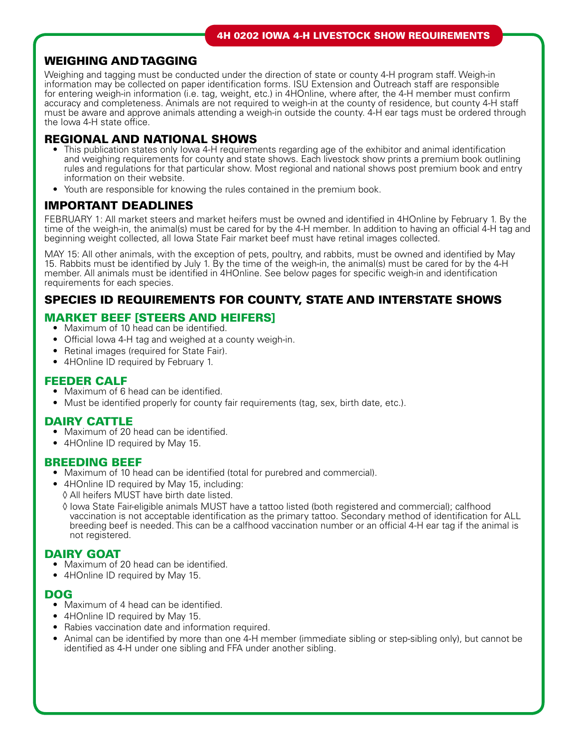## WEIGHING AND TAGGING

Weighing and tagging must be conducted under the direction of state or county 4-H program staff. Weigh-in information may be collected on paper identification forms. ISU Extension and Outreach staff are responsible for entering weigh-in information (i.e. tag, weight, etc.) in 4HOnline, where after, the 4-H member must confirm accuracy and completeness. Animals are not required to weigh-in at the county of residence, but county 4-H staff must be aware and approve animals attending a weigh-in outside the county. 4-H ear tags must be ordered through the Iowa 4-H state office.

### REGIONAL AND NATIONAL SHOWS

- This publication states only Iowa 4-H requirements regarding age of the exhibitor and animal identification and weighing requirements for county and state shows. Each livestock show prints a premium book outlining rules and regulations for that particular show. Most regional and national shows post premium book and entry information on their website.
- Youth are responsible for knowing the rules contained in the premium book.

### IMPORTANT DEADLINES

FEBRUARY 1: All market steers and market heifers must be owned and identified in 4HOnline by February 1. By the time of the weigh-in, the animal(s) must be cared for by the 4-H member. In addition to having an official 4-H tag and beginning weight collected, all Iowa State Fair market beef must have retinal images collected.

MAY 15: All other animals, with the exception of pets, poultry, and rabbits, must be owned and identified by May 15. Rabbits must be identified by July 1. By the time of the weigh-in, the animal(s) must be cared for by the 4-H member. All animals must be identified in 4HOnline. See below pages for specific weigh-in and identification requirements for each species.

## SPECIES ID REQUIREMENTS FOR COUNTY, STATE AND INTERSTATE SHOWS

## MARKET BEEF [STEERS AND HEIFERS]

- Maximum of 10 head can be identified.
- Official Iowa 4-H tag and weighed at a county weigh-in.
- Retinal images (required for State Fair).
- 4HOnline ID required by February 1.

### FEEDER CALF

- Maximum of 6 head can be identified.
- Must be identified properly for county fair requirements (tag, sex, birth date, etc.).

### DAIRY CATTLE

- Maximum of 20 head can be identified.
- 4HOnline ID required by May 15.

### BREEDING BEEF

- Maximum of 10 head can be identified (total for purebred and commercial).
- 4HOnline ID required by May 15, including:
- ◊ All heifers MUST have birth date listed.
- ◊ Iowa State Fair-eligible animals MUST have a tattoo listed (both registered and commercial); calfhood vaccination is not acceptable identification as the primary tattoo. Secondary method of identification for ALL breeding beef is needed. This can be a calfhood vaccination number or an official 4-H ear tag if the animal is not registered.

### DAIRY GOAT

- Maximum of 20 head can be identified.
- 4HOnline ID required by May 15.

#### DOG

- Maximum of 4 head can be identified.
- 4HOnline ID required by May 15.
- Rabies vaccination date and information required.
- Animal can be identified by more than one 4-H member (immediate sibling or step-sibling only), but cannot be identified as 4-H under one sibling and FFA under another sibling.